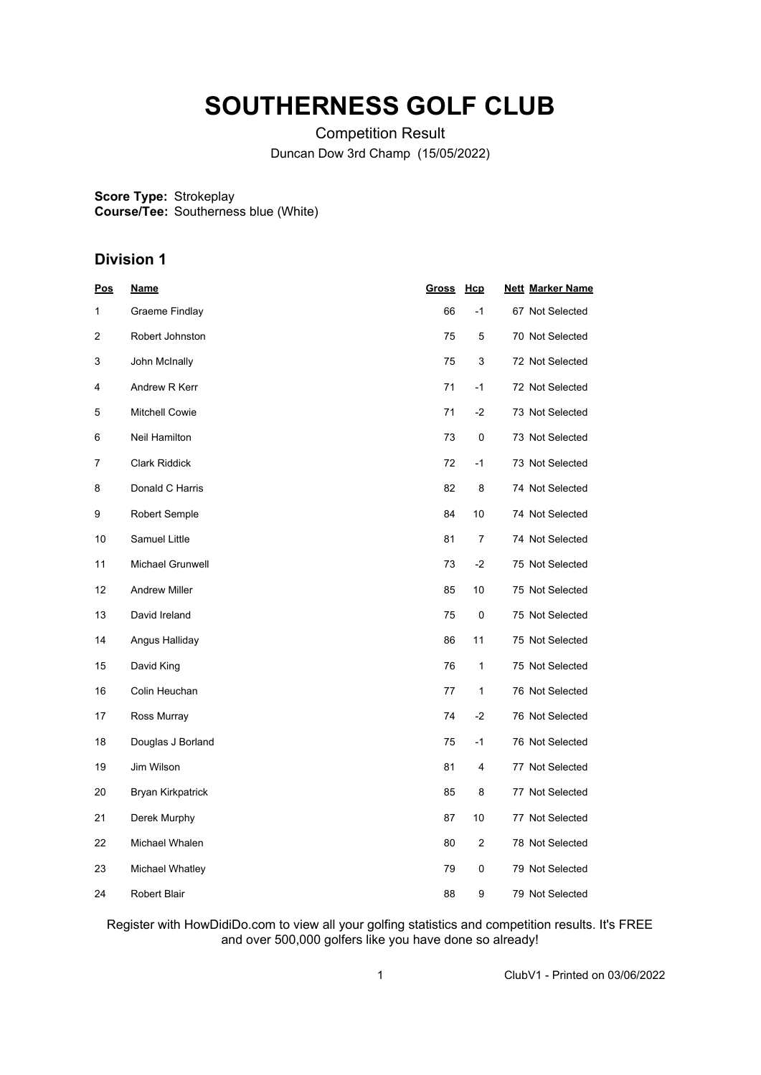## **SOUTHERNESS GOLF CLUB**

Competition Result Duncan Dow 3rd Champ (15/05/2022)

**Score Type: Course/Tee:** Strokeplay Southerness blue (White)

## **Division 1**

| <u>Pos</u>     | <u>Name</u>           | <b>Gross</b> | Hcp  | <b>Nett Marker Name</b> |
|----------------|-----------------------|--------------|------|-------------------------|
| 1              | Graeme Findlay        | 66           | $-1$ | 67 Not Selected         |
| $\overline{2}$ | Robert Johnston       | 75           | 5    | 70 Not Selected         |
| 3              | John McInally         | 75           | 3    | 72 Not Selected         |
| 4              | Andrew R Kerr         | 71           | $-1$ | 72 Not Selected         |
| 5              | <b>Mitchell Cowie</b> | 71           | $-2$ | 73 Not Selected         |
| 6              | Neil Hamilton         | 73           | 0    | 73 Not Selected         |
| 7              | <b>Clark Riddick</b>  | 72           | $-1$ | 73 Not Selected         |
| 8              | Donald C Harris       | 82           | 8    | 74 Not Selected         |
| 9              | Robert Semple         | 84           | 10   | 74 Not Selected         |
| 10             | Samuel Little         | 81           | 7    | 74 Not Selected         |
| 11             | Michael Grunwell      | 73           | $-2$ | 75 Not Selected         |
| 12             | <b>Andrew Miller</b>  | 85           | 10   | 75 Not Selected         |
| 13             | David Ireland         | 75           | 0    | 75 Not Selected         |
| 14             | Angus Halliday        | 86           | 11   | 75 Not Selected         |
| 15             | David King            | 76           | 1    | 75 Not Selected         |
| 16             | Colin Heuchan         | 77           | 1    | 76 Not Selected         |
| 17             | Ross Murray           | 74           | $-2$ | 76 Not Selected         |
| 18             | Douglas J Borland     | 75           | $-1$ | 76 Not Selected         |
| 19             | Jim Wilson            | 81           | 4    | 77 Not Selected         |
| 20             | Bryan Kirkpatrick     | 85           | 8    | 77 Not Selected         |
| 21             | Derek Murphy          | 87           | 10   | 77 Not Selected         |
| 22             | Michael Whalen        | 80           | 2    | 78 Not Selected         |
| 23             | Michael Whatley       | 79           | 0    | 79 Not Selected         |
| 24             | <b>Robert Blair</b>   | 88           | 9    | 79 Not Selected         |

Register with HowDidiDo.com to view all your golfing statistics and competition results. It's FREE and over 500,000 golfers like you have done so already!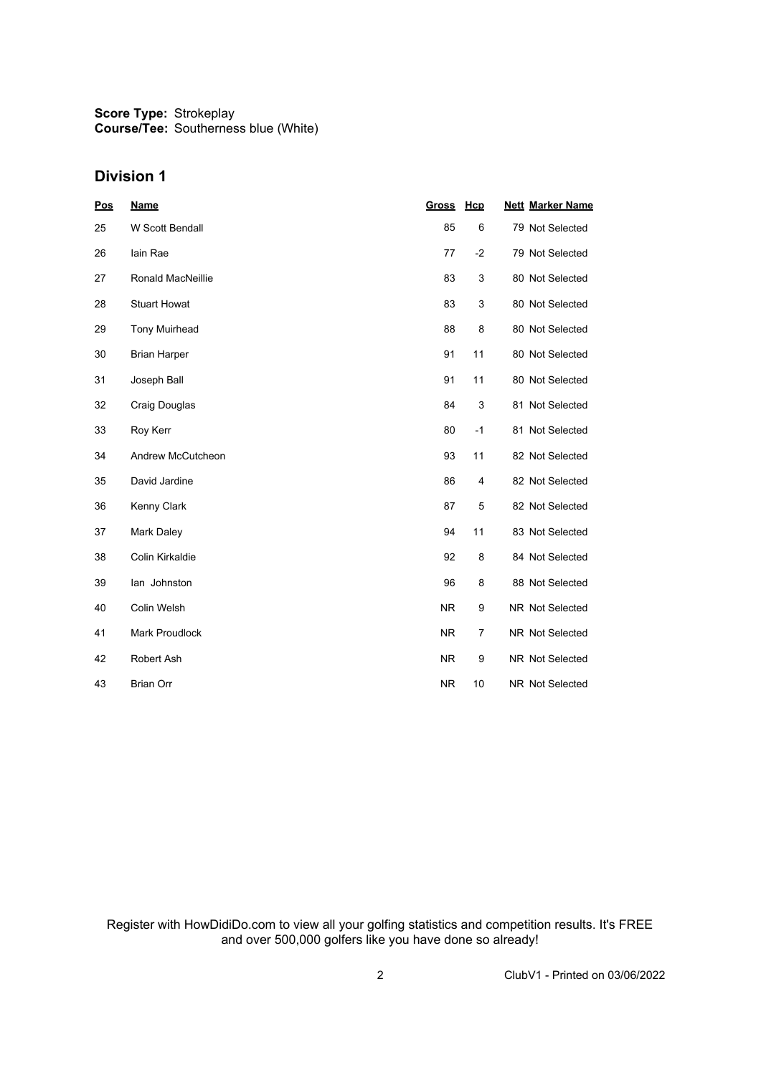**Score Type: Course/Tee:** Strokeplay Southerness blue (White)

## **Division 1**

| <u>Pos</u> | <b>Name</b>              | <b>Gross</b> | Hcp  | <b>Nett Marker Name</b> |
|------------|--------------------------|--------------|------|-------------------------|
| 25         | W Scott Bendall          | 85           | 6    | 79 Not Selected         |
| 26         | lain Rae                 | 77           | $-2$ | 79 Not Selected         |
| 27         | <b>Ronald MacNeillie</b> | 83           | 3    | 80 Not Selected         |
| 28         | <b>Stuart Howat</b>      | 83           | 3    | 80 Not Selected         |
| 29         | <b>Tony Muirhead</b>     | 88           | 8    | 80 Not Selected         |
| 30         | <b>Brian Harper</b>      | 91           | 11   | 80 Not Selected         |
| 31         | Joseph Ball              | 91           | 11   | 80 Not Selected         |
| 32         | Craig Douglas            | 84           | 3    | 81 Not Selected         |
| 33         | Roy Kerr                 | 80           | $-1$ | 81 Not Selected         |
| 34         | Andrew McCutcheon        | 93           | 11   | 82 Not Selected         |
| 35         | David Jardine            | 86           | 4    | 82 Not Selected         |
| 36         | Kenny Clark              | 87           | 5    | 82 Not Selected         |
| 37         | Mark Daley               | 94           | 11   | 83 Not Selected         |
| 38         | Colin Kirkaldie          | 92           | 8    | 84 Not Selected         |
| 39         | lan Johnston             | 96           | 8    | 88 Not Selected         |
| 40         | Colin Welsh              | <b>NR</b>    | 9    | <b>NR Not Selected</b>  |
| 41         | Mark Proudlock           | <b>NR</b>    | 7    | NR Not Selected         |
| 42         | Robert Ash               | <b>NR</b>    | 9    | NR Not Selected         |
| 43         | <b>Brian Orr</b>         | <b>NR</b>    | 10   | <b>NR Not Selected</b>  |

Register with HowDidiDo.com to view all your golfing statistics and competition results. It's FREE and over 500,000 golfers like you have done so already!